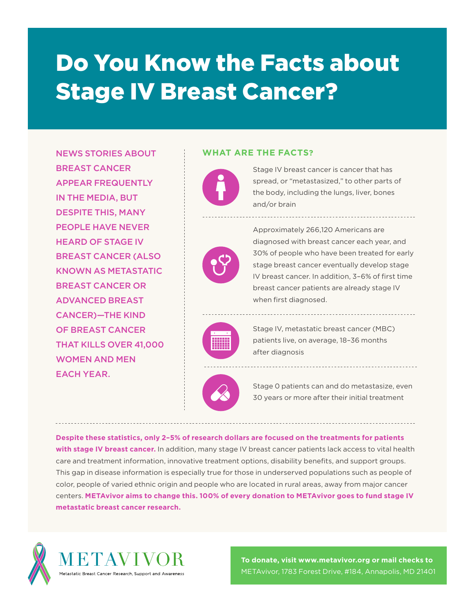# Do You Know the Facts about Stage IV Breast Cancer?

NEWS STORIES ABOUT BREAST CANCER APPEAR FREQUENTLY IN THE MEDIA, BUT DESPITE THIS, MANY PEOPLE HAVE NEVER HEARD OF STAGE IV BREAST CANCER (ALSO KNOWN AS METASTATIC BREAST CANCER OR ADVANCED BREAST CANCER)—THE KIND OF BREAST CANCER THAT KILLS OVER 41,000 WOMEN AND MEN EACH YEAR.

#### **WHAT ARE THE FACTS?**

Stage IV breast cancer is cancer that has spread, or "metastasized," to other parts of the body, including the lungs, liver, bones and/or brain



Approximately 266,120 Americans are diagnosed with breast cancer each year, and 30% of people who have been treated for early stage breast cancer eventually develop stage IV breast cancer. In addition, 3–6% of first time breast cancer patients are already stage IV when first diagnosed.



Stage IV, metastatic breast cancer (MBC) patients live, on average, 18–36 months after diagnosis



Stage 0 patients can and do metastasize, even 30 years or more after their initial treatment

**Despite these statistics, only 2–5% of research dollars are focused on the treatments for patients with stage IV breast cancer.** In addition, many stage IV breast cancer patients lack access to vital health care and treatment information, innovative treatment options, disability benefits, and support groups. This gap in disease information is especially true for those in underserved populations such as people of color, people of varied ethnic origin and people who are located in rural areas, away from major cancer centers. **METAvivor aims to change this. 100% of every donation to METAvivor goes to fund stage IV metastatic breast cancer research.**



**To donate, visit www.metavivor.org or mail checks to**  METAvivor, 1783 Forest Drive, #184, Annapolis, MD 21401